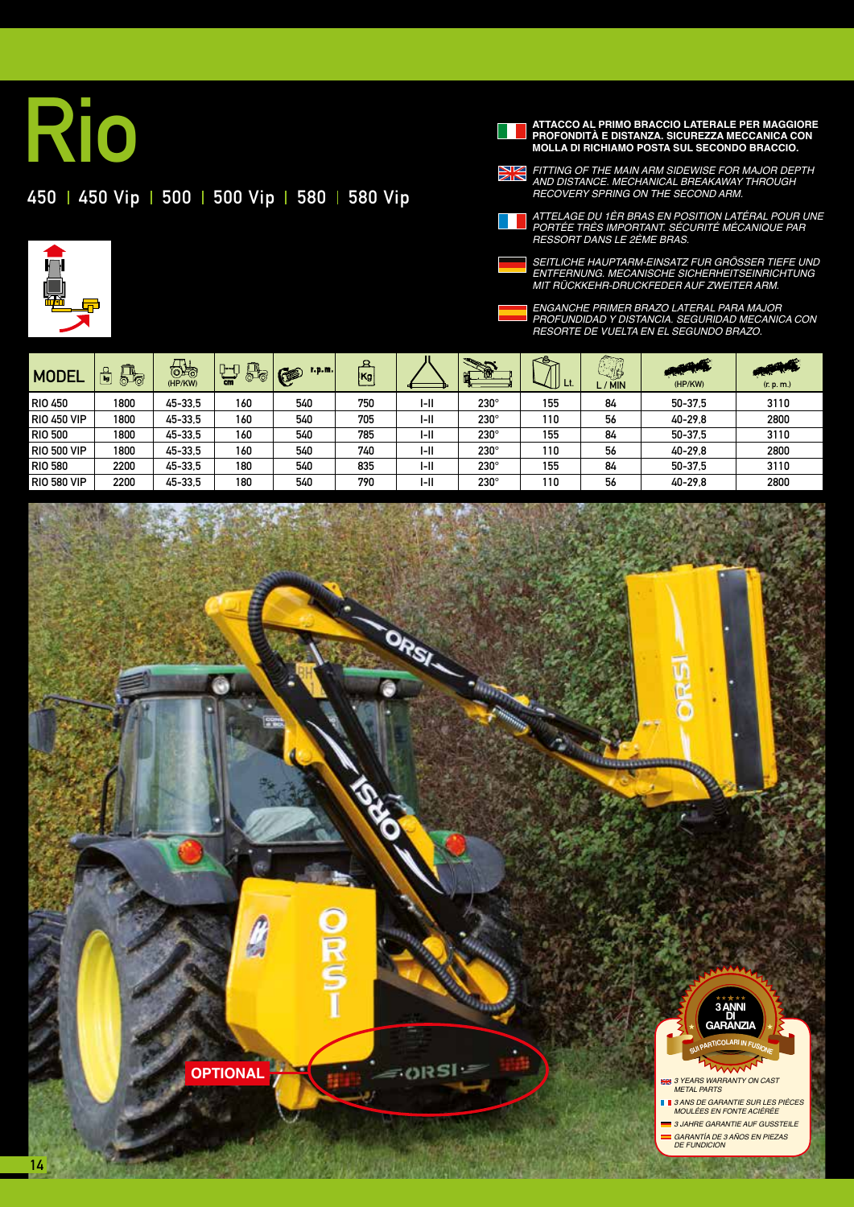## 450 450 Vip | 500 | 500 Vip | 580 | 580 Vip



**ATTACCO AL PRIMO BRACCIO LATERALE PER MAGGIORE PROFONDITÀ E DISTANZA. SICUREZZA MECCANICA CON MOLLA DI RICHIAMO POSTA SUL SECONDO BRACCIO. PROFONDITÀ E DISTANZA. SICUREZZA MECCANICA CON MOLLA DI RICHIAMO POSTA SUL SECONDO BRACCIO.** *FITTING OF THE MAIN ARM SIDEWISE FOR MAJOR DEPTH* 

*AND DISTANCE. MECHANICAL BREAKAWAY THROUGH* 



*RECOVERY SPRING ON THE SECOND ARM. ATTELAGE DU 1ÈR BRAS EN POSITION LATÉRAL POUR UNE PORTÉE TRÈS IMPORTANT. SÉCURITÉ MÉCANIQUE PAR* 

*RESSORT DANS LE 2ÈME BRAS.*

*SEITLICHE HAUPTARM-EINSATZ FUR GRÖSSER TIEFE UND ENTFERNUNG. MECANISCHE SICHERHEITSEINRICHTUNG MIT RÜCKKEHR-DRUCKFEDER AUF ZWEITER ARM.*



*ENGANCHE PRIMER BRAZO LATERAL PARA MAJOR PROFUNDIDAD Y DISTANCIA. SEGURIDAD MECANICA CON RESORTE DE VUELTA EN EL SEGUNDO BRAZO.* 

| <b>MODEL</b>       | $\mathbb{F}$<br>崮 | $\bigoplus$<br>(HP/KW) | $\mathbb{F}_{\!\scriptscriptstyle\odot}$<br><b>D−D</b><br><b>cm</b> | $L, p, m$ .<br>G | $\mathbf s$<br> Kg |        |             | U Lt. | <b>AND STATE</b><br>$\overline{1}$<br><b>REA</b><br>L/MIN | <b>REPORT</b><br>(HP/KW) | <b>ALLES AND STATE</b><br>(r. p. m.) |
|--------------------|-------------------|------------------------|---------------------------------------------------------------------|------------------|--------------------|--------|-------------|-------|-----------------------------------------------------------|--------------------------|--------------------------------------|
| <b>RIO 450</b>     | 1800              | 45-33.5                | 160                                                                 | 540              | 750                | I-II   | $230^\circ$ | 155   | 84                                                        | 50-37.5                  | 3110                                 |
| <b>RIO 450 VIP</b> | 1800              | 45-33.5                | 160                                                                 | 540              | 705                | I-II   | $230^\circ$ | 110   | 56                                                        | 40-29.8                  | 2800                                 |
| <b>RIO 500</b>     | 1800              | 45-33.5                | 160                                                                 | 540              | 785                | I-II   | $230^\circ$ | 155   | 84                                                        | 50-37.5                  | 3110                                 |
| <b>RIO 500 VIP</b> | 1800              | 45-33.5                | 160                                                                 | 540              | 740                | $I-II$ | $230^\circ$ | 110   | 56                                                        | 40-29.8                  | 2800                                 |
| <b>RIO 580</b>     | 2200              | 45-33.5                | 180                                                                 | 540              | 835                | I-II   | $230^\circ$ | 155   | 84                                                        | 50-37.5                  | 3110                                 |
| <b>RIO 580 VIP</b> | 2200              | 45-33.5                | 180                                                                 | 540              | 790                | I-II   | $230^\circ$ | 110   | 56                                                        | 40-29.8                  | 2800                                 |